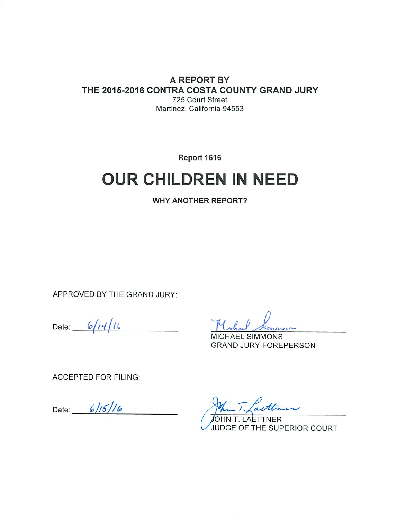#### A REPORT BY THE 2015-2016 CONTRA COSTA COUNTY GRAND JURY 725 Court Street Martinez, California 94553

Report 1616

# **OUR CHILDREN IN NEED**

**WHY ANOTHER REPORT?** 

APPROVED BY THE GRAND JURY:

Date:  $6/14/16$ 

**MICHAEL SIMMONS GRAND JURY FOREPERSON** 

**ACCEPTED FOR FILING:** 

Date:  $6/15/16$ 

. T. Lauttr

JOHN T. LAETTNER JUDGE OF THE SUPERIOR COURT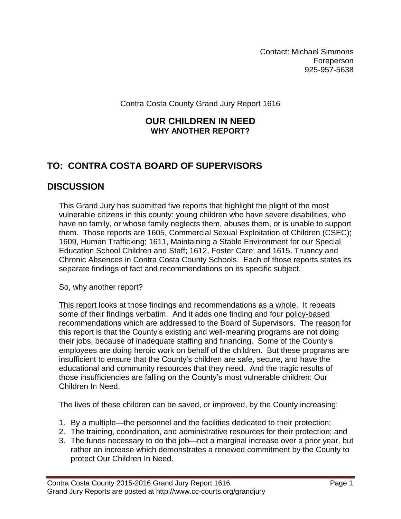Contact: Michael Simmons **Foreperson** 925-957-5638

Contra Costa County Grand Jury Report 1616

#### **OUR CHILDREN IN NEED WHY ANOTHER REPORT?**

# **TO: CONTRA COSTA BOARD OF SUPERVISORS**

## **DISCUSSION**

This Grand Jury has submitted five reports that highlight the plight of the most vulnerable citizens in this county: young children who have severe disabilities, who have no family, or whose family neglects them, abuses them, or is unable to support them. Those reports are 1605, Commercial Sexual Exploitation of Children (CSEC); 1609, Human Trafficking; 1611, Maintaining a Stable Environment for our Special Education School Children and Staff; 1612, Foster Care; and 1615, Truancy and Chronic Absences in Contra Costa County Schools. Each of those reports states its separate findings of fact and recommendations on its specific subject.

So, why another report?

This report looks at those findings and recommendations as a whole. It repeats some of their findings verbatim. And it adds one finding and four policy-based recommendations which are addressed to the Board of Supervisors. The reason for this report is that the County's existing and well-meaning programs are not doing their jobs, because of inadequate staffing and financing. Some of the County's employees are doing heroic work on behalf of the children. But these programs are insufficient to ensure that the County's children are safe, secure, and have the educational and community resources that they need. And the tragic results of those insufficiencies are falling on the County's most vulnerable children: Our Children In Need.

The lives of these children can be saved, or improved, by the County increasing:

- 1. By a multiple—the personnel and the facilities dedicated to their protection;
- 2. The training, coordination, and administrative resources for their protection; and
- 3. The funds necessary to do the job—not a marginal increase over a prior year, but rather an increase which demonstrates a renewed commitment by the County to protect Our Children In Need.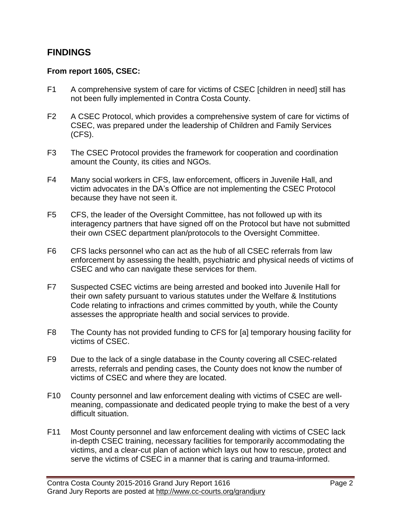### **FINDINGS**

#### **From report 1605, CSEC:**

- F1 A comprehensive system of care for victims of CSEC [children in need] still has not been fully implemented in Contra Costa County.
- F2 A CSEC Protocol, which provides a comprehensive system of care for victims of CSEC, was prepared under the leadership of Children and Family Services (CFS).
- F3 The CSEC Protocol provides the framework for cooperation and coordination amount the County, its cities and NGOs.
- F4 Many social workers in CFS, law enforcement, officers in Juvenile Hall, and victim advocates in the DA's Office are not implementing the CSEC Protocol because they have not seen it.
- F5 CFS, the leader of the Oversight Committee, has not followed up with its interagency partners that have signed off on the Protocol but have not submitted their own CSEC department plan/protocols to the Oversight Committee.
- F6 CFS lacks personnel who can act as the hub of all CSEC referrals from law enforcement by assessing the health, psychiatric and physical needs of victims of CSEC and who can navigate these services for them.
- F7 Suspected CSEC victims are being arrested and booked into Juvenile Hall for their own safety pursuant to various statutes under the Welfare & Institutions Code relating to infractions and crimes committed by youth, while the County assesses the appropriate health and social services to provide.
- F8 The County has not provided funding to CFS for [a] temporary housing facility for victims of CSEC.
- F9 Due to the lack of a single database in the County covering all CSEC-related arrests, referrals and pending cases, the County does not know the number of victims of CSEC and where they are located.
- F10 County personnel and law enforcement dealing with victims of CSEC are wellmeaning, compassionate and dedicated people trying to make the best of a very difficult situation.
- F11 Most County personnel and law enforcement dealing with victims of CSEC lack in-depth CSEC training, necessary facilities for temporarily accommodating the victims, and a clear-cut plan of action which lays out how to rescue, protect and serve the victims of CSEC in a manner that is caring and trauma-informed.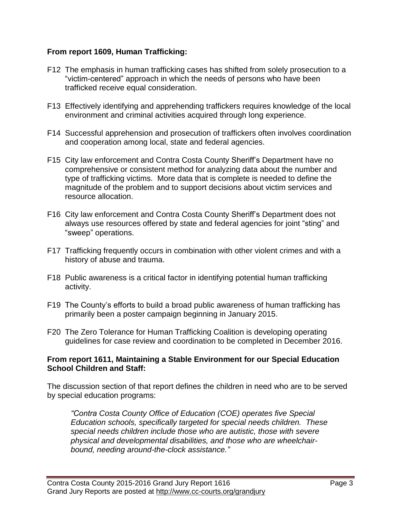#### **From report 1609, Human Trafficking:**

- F12 The emphasis in human trafficking cases has shifted from solely prosecution to a "victim-centered" approach in which the needs of persons who have been trafficked receive equal consideration.
- F13 Effectively identifying and apprehending traffickers requires knowledge of the local environment and criminal activities acquired through long experience.
- F14 Successful apprehension and prosecution of traffickers often involves coordination and cooperation among local, state and federal agencies.
- F15 City law enforcement and Contra Costa County Sheriff's Department have no comprehensive or consistent method for analyzing data about the number and type of trafficking victims. More data that is complete is needed to define the magnitude of the problem and to support decisions about victim services and resource allocation.
- F16 City law enforcement and Contra Costa County Sheriff's Department does not always use resources offered by state and federal agencies for joint "sting" and "sweep" operations.
- F17 Trafficking frequently occurs in combination with other violent crimes and with a history of abuse and trauma.
- F18 Public awareness is a critical factor in identifying potential human trafficking activity.
- F19 The County's efforts to build a broad public awareness of human trafficking has primarily been a poster campaign beginning in January 2015.
- F20 The Zero Tolerance for Human Trafficking Coalition is developing operating guidelines for case review and coordination to be completed in December 2016.

#### **From report 1611, Maintaining a Stable Environment for our Special Education School Children and Staff:**

The discussion section of that report defines the children in need who are to be served by special education programs:

*"Contra Costa County Office of Education (COE) operates five Special Education schools, specifically targeted for special needs children. These special needs children include those who are autistic, those with severe physical and developmental disabilities, and those who are wheelchairbound, needing around-the-clock assistance."*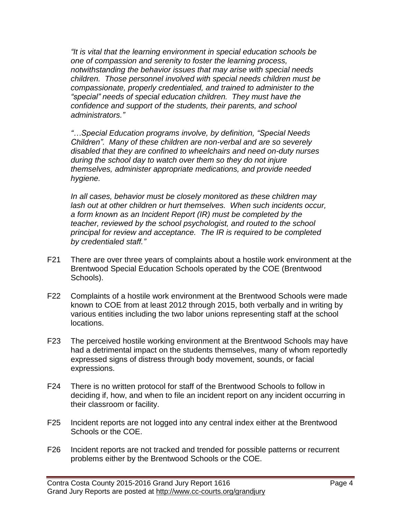*"It is vital that the learning environment in special education schools be one of compassion and serenity to foster the learning process, notwithstanding the behavior issues that may arise with special needs children. Those personnel involved with special needs children must be compassionate, properly credentialed, and trained to administer to the "special" needs of special education children. They must have the confidence and support of the students, their parents, and school administrators."*

*"…Special Education programs involve, by definition, "Special Needs Children". Many of these children are non-verbal and are so severely disabled that they are confined to wheelchairs and need on-duty nurses during the school day to watch over them so they do not injure themselves, administer appropriate medications, and provide needed hygiene.*

*In all cases, behavior must be closely monitored as these children may lash out at other children or hurt themselves. When such incidents occur, a form known as an Incident Report (IR) must be completed by the teacher, reviewed by the school psychologist, and routed to the school principal for review and acceptance. The IR is required to be completed by credentialed staff."*

- F21 There are over three years of complaints about a hostile work environment at the Brentwood Special Education Schools operated by the COE (Brentwood Schools).
- F22 Complaints of a hostile work environment at the Brentwood Schools were made known to COE from at least 2012 through 2015, both verbally and in writing by various entities including the two labor unions representing staff at the school locations.
- F23 The perceived hostile working environment at the Brentwood Schools may have had a detrimental impact on the students themselves, many of whom reportedly expressed signs of distress through body movement, sounds, or facial expressions.
- F24 There is no written protocol for staff of the Brentwood Schools to follow in deciding if, how, and when to file an incident report on any incident occurring in their classroom or facility.
- F25 Incident reports are not logged into any central index either at the Brentwood Schools or the COE.
- F26 Incident reports are not tracked and trended for possible patterns or recurrent problems either by the Brentwood Schools or the COE.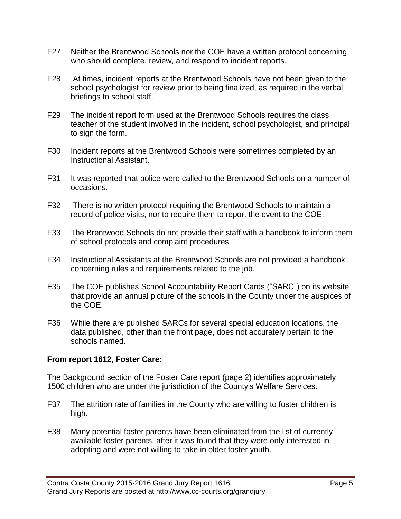- F27 Neither the Brentwood Schools nor the COE have a written protocol concerning who should complete, review, and respond to incident reports.
- F28 At times, incident reports at the Brentwood Schools have not been given to the school psychologist for review prior to being finalized, as required in the verbal briefings to school staff.
- F29 The incident report form used at the Brentwood Schools requires the class teacher of the student involved in the incident, school psychologist, and principal to sign the form.
- F30 Incident reports at the Brentwood Schools were sometimes completed by an Instructional Assistant.
- F31 It was reported that police were called to the Brentwood Schools on a number of occasions.
- F32 There is no written protocol requiring the Brentwood Schools to maintain a record of police visits, nor to require them to report the event to the COE.
- F33 The Brentwood Schools do not provide their staff with a handbook to inform them of school protocols and complaint procedures.
- F34 Instructional Assistants at the Brentwood Schools are not provided a handbook concerning rules and requirements related to the job.
- F35 The COE publishes School Accountability Report Cards ("SARC") on its website that provide an annual picture of the schools in the County under the auspices of the COE.
- F36 While there are published SARCs for several special education locations, the data published, other than the front page, does not accurately pertain to the schools named.

#### **From report 1612, Foster Care:**

The Background section of the Foster Care report (page 2) identifies approximately 1500 children who are under the jurisdiction of the County's Welfare Services.

- F37 The attrition rate of families in the County who are willing to foster children is high.
- F38 Many potential foster parents have been eliminated from the list of currently available foster parents, after it was found that they were only interested in adopting and were not willing to take in older foster youth.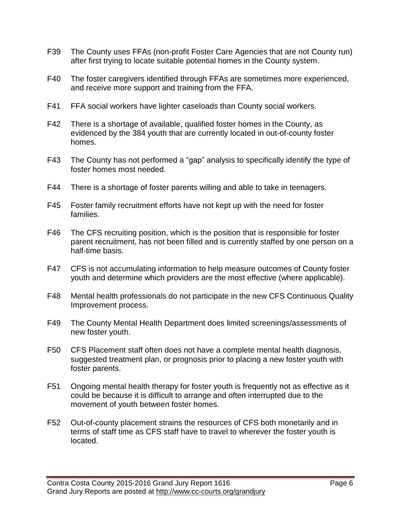- F39 The County uses FFAs (non-profit Foster Care Agencies that are not County run) after first trying to locate suitable potential homes in the County system.
- F40 The foster caregivers identified through FFAs are sometimes more experienced, and receive more support and training from the FFA.
- F41 FFA social workers have lighter caseloads than County social workers.
- F42 There is a shortage of available, qualified foster homes in the County, as evidenced by the 384 youth that are currently located in out-of-county foster homes.
- F43 The County has not performed a "gap" analysis to specifically identify the type of foster homes most needed.
- F44 There is a shortage of foster parents willing and able to take in teenagers.
- F45 Foster family recruitment efforts have not kept up with the need for foster families.
- F46 The CFS recruiting position, which is the position that is responsible for foster parent recruitment, has not been filled and is currently staffed by one person on a half-time basis.
- F47 CFS is not accumulating information to help measure outcomes of County foster youth and determine which providers are the most effective (where applicable).
- F48 Mental health professionals do not participate in the new CFS Continuous Quality Improvement process.
- F49 The County Mental Health Department does limited screenings/assessments of new foster youth.
- F50 CFS Placement staff often does not have a complete mental health diagnosis, suggested treatment plan, or prognosis prior to placing a new foster youth with foster parents.
- F51 Ongoing mental health therapy for foster youth is frequently not as effective as it could be because it is difficult to arrange and often interrupted due to the movement of youth between foster homes.
- F52 Out-of-county placement strains the resources of CFS both monetarily and in terms of staff time as CFS staff have to travel to wherever the foster youth is located.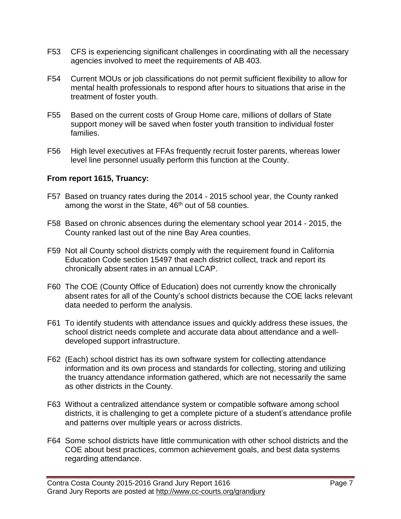- F53 CFS is experiencing significant challenges in coordinating with all the necessary agencies involved to meet the requirements of AB 403.
- F54 Current MOUs or job classifications do not permit sufficient flexibility to allow for mental health professionals to respond after hours to situations that arise in the treatment of foster youth.
- F55 Based on the current costs of Group Home care, millions of dollars of State support money will be saved when foster youth transition to individual foster families.
- F56 High level executives at FFAs frequently recruit foster parents, whereas lower level line personnel usually perform this function at the County.

#### **From report 1615, Truancy:**

- F57 Based on truancy rates during the 2014 2015 school year, the County ranked among the worst in the State, 46<sup>th</sup> out of 58 counties.
- F58 Based on chronic absences during the elementary school year 2014 2015, the County ranked last out of the nine Bay Area counties.
- F59 Not all County school districts comply with the requirement found in California Education Code section 15497 that each district collect, track and report its chronically absent rates in an annual LCAP.
- F60 The COE (County Office of Education) does not currently know the chronically absent rates for all of the County's school districts because the COE lacks relevant data needed to perform the analysis.
- F61 To identify students with attendance issues and quickly address these issues, the school district needs complete and accurate data about attendance and a welldeveloped support infrastructure.
- F62 (Each) school district has its own software system for collecting attendance information and its own process and standards for collecting, storing and utilizing the truancy attendance information gathered, which are not necessarily the same as other districts in the County.
- F63 Without a centralized attendance system or compatible software among school districts, it is challenging to get a complete picture of a student's attendance profile and patterns over multiple years or across districts.
- F64 Some school districts have little communication with other school districts and the COE about best practices, common achievement goals, and best data systems regarding attendance.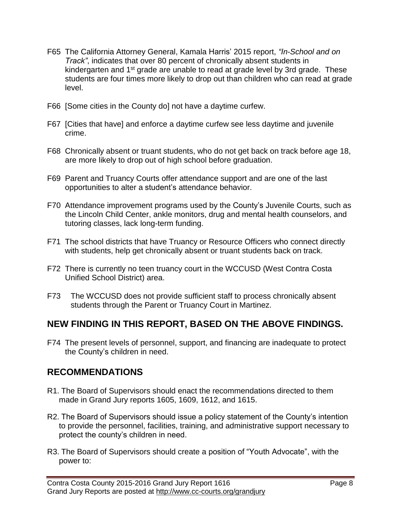- F65 The California Attorney General, Kamala Harris' 2015 report, *"In-School and on Track"*, indicates that over 80 percent of chronically absent students in kindergarten and 1<sup>st</sup> grade are unable to read at grade level by 3rd grade. These students are four times more likely to drop out than children who can read at grade level.
- F66 [Some cities in the County do] not have a daytime curfew.
- F67 [Cities that have] and enforce a daytime curfew see less daytime and juvenile crime.
- F68 Chronically absent or truant students, who do not get back on track before age 18, are more likely to drop out of high school before graduation.
- F69 Parent and Truancy Courts offer attendance support and are one of the last opportunities to alter a student's attendance behavior.
- F70 Attendance improvement programs used by the County's Juvenile Courts, such as the Lincoln Child Center, ankle monitors, drug and mental health counselors, and tutoring classes, lack long-term funding.
- F71 The school districts that have Truancy or Resource Officers who connect directly with students, help get chronically absent or truant students back on track.
- F72 There is currently no teen truancy court in the WCCUSD (West Contra Costa Unified School District) area.
- F73 The WCCUSD does not provide sufficient staff to process chronically absent students through the Parent or Truancy Court in Martinez.

## **NEW FINDING IN THIS REPORT, BASED ON THE ABOVE FINDINGS.**

F74 The present levels of personnel, support, and financing are inadequate to protect the County's children in need.

## **RECOMMENDATIONS**

- R1. The Board of Supervisors should enact the recommendations directed to them made in Grand Jury reports 1605, 1609, 1612, and 1615.
- R2. The Board of Supervisors should issue a policy statement of the County's intention to provide the personnel, facilities, training, and administrative support necessary to protect the county's children in need.
- R3. The Board of Supervisors should create a position of "Youth Advocate", with the power to: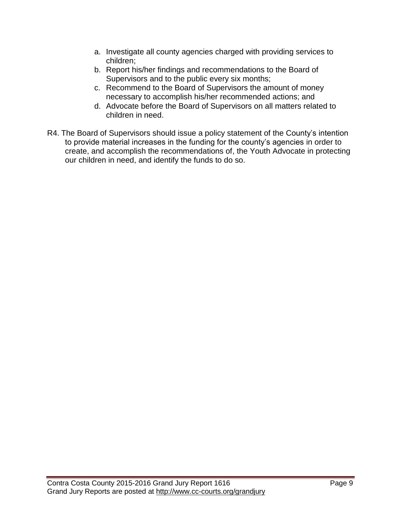- a. Investigate all county agencies charged with providing services to children;
- b. Report his/her findings and recommendations to the Board of Supervisors and to the public every six months;
- c. Recommend to the Board of Supervisors the amount of money necessary to accomplish his/her recommended actions; and
- d. Advocate before the Board of Supervisors on all matters related to children in need.
- R4. The Board of Supervisors should issue a policy statement of the County's intention to provide material increases in the funding for the county's agencies in order to create, and accomplish the recommendations of, the Youth Advocate in protecting our children in need, and identify the funds to do so.